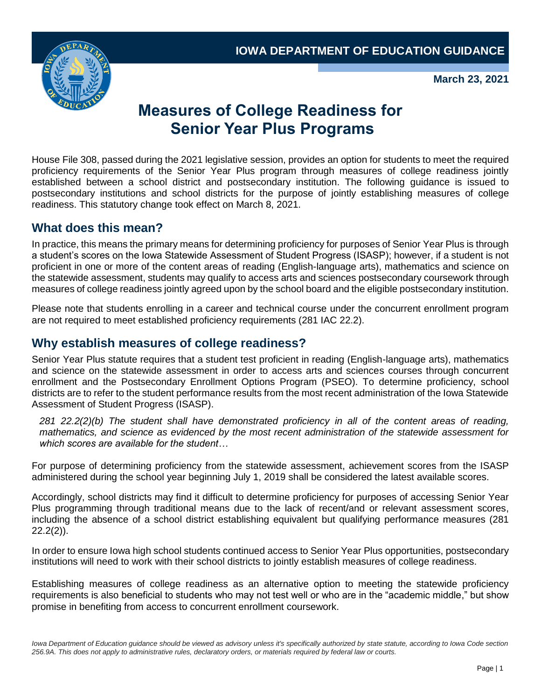

**March 23, 2021**

# **Measures of College Readiness for Senior Year Plus Programs**

House File 308, passed during the 2021 legislative session, provides an option for students to meet the required proficiency requirements of the Senior Year Plus program through measures of college readiness jointly established between a school district and postsecondary institution. The following guidance is issued to postsecondary institutions and school districts for the purpose of jointly establishing measures of college readiness. This statutory change took effect on March 8, 2021.

### **What does this mean?**

In practice, this means the primary means for determining proficiency for purposes of Senior Year Plus is through a student's scores on the Iowa Statewide Assessment of Student Progress (ISASP); however, if a student is not proficient in one or more of the content areas of reading (English-language arts), mathematics and science on the statewide assessment, students may qualify to access arts and sciences postsecondary coursework through measures of college readiness jointly agreed upon by the school board and the eligible postsecondary institution.

Please note that students enrolling in a career and technical course under the concurrent enrollment program are not required to meet established proficiency requirements (281 IAC 22.2).

### **Why establish measures of college readiness?**

Senior Year Plus statute requires that a student test proficient in reading (English-language arts), mathematics and science on the statewide assessment in order to access arts and sciences courses through concurrent enrollment and the Postsecondary Enrollment Options Program (PSEO). To determine proficiency, school districts are to refer to the student performance results from the most recent administration of the Iowa Statewide Assessment of Student Progress (ISASP).

*281 22.2(2)(b) The student shall have demonstrated proficiency in all of the content areas of reading, mathematics, and science as evidenced by the most recent administration of the statewide assessment for which scores are available for the student…*

For purpose of determining proficiency from the statewide assessment, achievement scores from the ISASP administered during the school year beginning July 1, 2019 shall be considered the latest available scores.

Accordingly, school districts may find it difficult to determine proficiency for purposes of accessing Senior Year Plus programming through traditional means due to the lack of recent/and or relevant assessment scores, including the absence of a school district establishing equivalent but qualifying performance measures (281 22.2(2)).

In order to ensure Iowa high school students continued access to Senior Year Plus opportunities, postsecondary institutions will need to work with their school districts to jointly establish measures of college readiness.

Establishing measures of college readiness as an alternative option to meeting the statewide proficiency requirements is also beneficial to students who may not test well or who are in the "academic middle," but show promise in benefiting from access to concurrent enrollment coursework.

Iowa Department of Education guidance should be viewed as advisory unless it's specifically authorized by state statute, according to Iowa Code section *256.9A. This does not apply to administrative rules, declaratory orders, or materials required by federal law or courts.*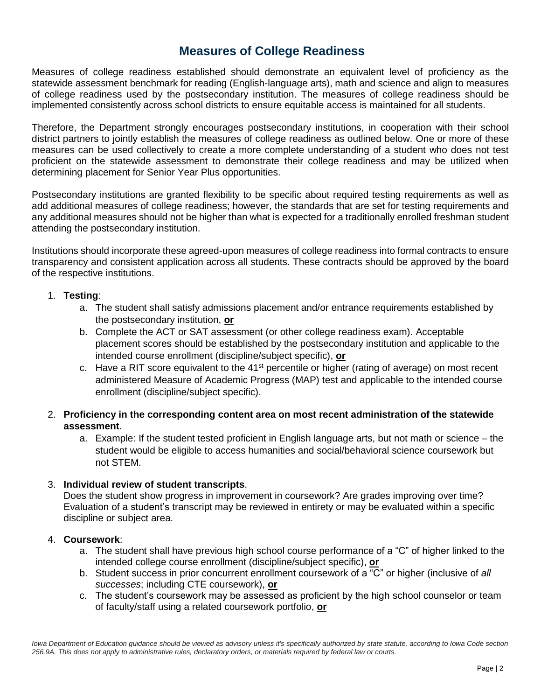### **Measures of College Readiness**

Measures of college readiness established should demonstrate an equivalent level of proficiency as the statewide assessment benchmark for reading (English-language arts), math and science and align to measures of college readiness used by the postsecondary institution. The measures of college readiness should be implemented consistently across school districts to ensure equitable access is maintained for all students.

Therefore, the Department strongly encourages postsecondary institutions, in cooperation with their school district partners to jointly establish the measures of college readiness as outlined below. One or more of these measures can be used collectively to create a more complete understanding of a student who does not test proficient on the statewide assessment to demonstrate their college readiness and may be utilized when determining placement for Senior Year Plus opportunities.

Postsecondary institutions are granted flexibility to be specific about required testing requirements as well as add additional measures of college readiness; however, the standards that are set for testing requirements and any additional measures should not be higher than what is expected for a traditionally enrolled freshman student attending the postsecondary institution.

Institutions should incorporate these agreed-upon measures of college readiness into formal contracts to ensure transparency and consistent application across all students. These contracts should be approved by the board of the respective institutions.

#### 1. **Testing**:

- a. The student shall satisfy admissions placement and/or entrance requirements established by the postsecondary institution, **or**
- b. Complete the ACT or SAT assessment (or other college readiness exam). Acceptable placement scores should be established by the postsecondary institution and applicable to the intended course enrollment (discipline/subject specific), **or**
- c. Have a RIT score equivalent to the  $41<sup>st</sup>$  percentile or higher (rating of average) on most recent administered Measure of Academic Progress (MAP) test and applicable to the intended course enrollment (discipline/subject specific).
- 2. **Proficiency in the corresponding content area on most recent administration of the statewide assessment**.
	- a. Example: If the student tested proficient in English language arts, but not math or science the student would be eligible to access humanities and social/behavioral science coursework but not STEM.

#### 3. **Individual review of student transcripts**.

Does the student show progress in improvement in coursework? Are grades improving over time? Evaluation of a student's transcript may be reviewed in entirety or may be evaluated within a specific discipline or subject area.

#### 4. **Coursework**:

- a. The student shall have previous high school course performance of a "C" of higher linked to the intended college course enrollment (discipline/subject specific), **or**
- b. Student success in prior concurrent enrollment coursework of a "C" or higher (inclusive of *all successes*; including CTE coursework), **or**
- c. The student's coursework may be assessed as proficient by the high school counselor or team of faculty/staff using a related coursework portfolio, **or**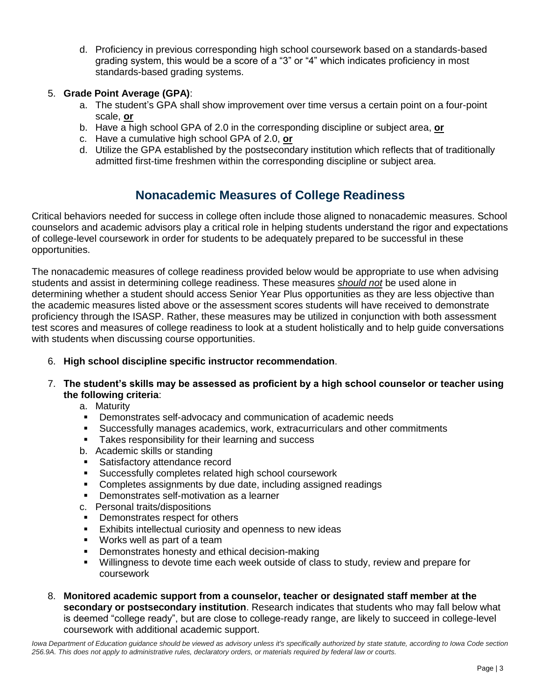d. Proficiency in previous corresponding high school coursework based on a standards-based grading system, this would be a score of a "3" or "4" which indicates proficiency in most standards-based grading systems.

#### 5. **Grade Point Average (GPA)**:

- a. The student's GPA shall show improvement over time versus a certain point on a four-point scale, **or**
- b. Have a high school GPA of 2.0 in the corresponding discipline or subject area, **or**
- c. Have a cumulative high school GPA of 2.0, **or**
- d. Utilize the GPA established by the postsecondary institution which reflects that of traditionally admitted first-time freshmen within the corresponding discipline or subject area.

# **Nonacademic Measures of College Readiness**

Critical behaviors needed for success in college often include those aligned to nonacademic measures. School counselors and academic advisors play a critical role in helping students understand the rigor and expectations of college-level coursework in order for students to be adequately prepared to be successful in these opportunities.

The nonacademic measures of college readiness provided below would be appropriate to use when advising students and assist in determining college readiness. These measures *should not* be used alone in determining whether a student should access Senior Year Plus opportunities as they are less objective than the academic measures listed above or the assessment scores students will have received to demonstrate proficiency through the ISASP. Rather, these measures may be utilized in conjunction with both assessment test scores and measures of college readiness to look at a student holistically and to help guide conversations with students when discussing course opportunities.

- 6. **High school discipline specific instructor recommendation**.
- 7. **The student's skills may be assessed as proficient by a high school counselor or teacher using the following criteria**:
	- a. Maturity
	- Demonstrates self-advocacy and communication of academic needs
	- Successfully manages academics, work, extracurriculars and other commitments
	- **EXE** Takes responsibility for their learning and success
	- b. Academic skills or standing
	- Satisfactory attendance record
	- Successfully completes related high school coursework
	- Completes assignments by due date, including assigned readings
	- Demonstrates self-motivation as a learner
	- c. Personal traits/dispositions
	- Demonstrates respect for others
	- Exhibits intellectual curiosity and openness to new ideas
	- Works well as part of a team
	- Demonstrates honesty and ethical decision-making
	- Willingness to devote time each week outside of class to study, review and prepare for coursework
- 8. **Monitored academic support from a counselor, teacher or designated staff member at the secondary or postsecondary institution**. Research indicates that students who may fall below what is deemed "college ready", but are close to college-ready range, are likely to succeed in college-level coursework with additional academic support.

Iowa Department of Education guidance should be viewed as advisory unless it's specifically authorized by state statute, according to Iowa Code section *256.9A. This does not apply to administrative rules, declaratory orders, or materials required by federal law or courts.*